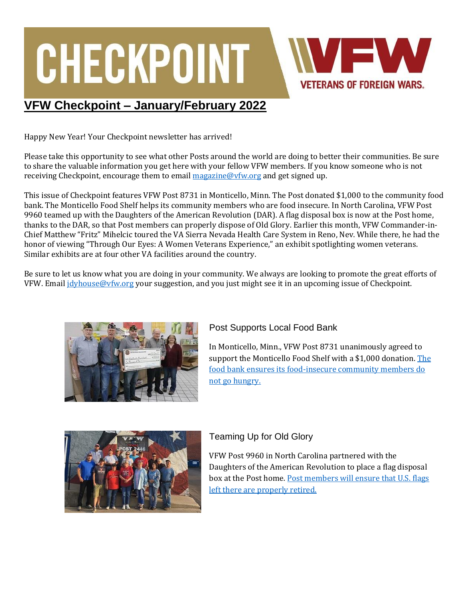# CHECKPOINT **VETERANS OF FOREIGN WARS.**

### **VFW Checkpoint – January/February 2022**

Happy New Year! Your Checkpoint newsletter has arrived!

Please take this opportunity to see what other Posts around the world are doing to better their communities. Be sure to share the valuable information you get here with your fellow VFW members. If you know someone who is not receiving Checkpoint, encourage them to email [magazine@vfw.org](mailto:magazine@vfw.org) and get signed up.

This issue of Checkpoint features VFW Post 8731 in Monticello, Minn. The Post donated \$1,000 to the community food bank. The Monticello Food Shelf helps its community members who are food insecure. In North Carolina, VFW Post 9960 teamed up with the Daughters of the American Revolution (DAR). A flag disposal box is now at the Post home, thanks to the DAR, so that Post members can properly dispose of Old Glory. Earlier this month, VFW Commander-in-Chief Matthew "Fritz" Mihelcic toured the VA Sierra Nevada Health Care System in Reno, Nev. While there, he had the honor of viewing "Through Our Eyes: A Women Veterans Experience," an exhibit spotlighting women veterans. Similar exhibits are at four other VA facilities around the country.

Be sure to let us know what you are doing in your community. We always are looking to promote the great efforts of VFW. Email [jdyhouse@vfw.org](mailto:jdyhouse@vfw.org) your suggestion, and you just might see it in an upcoming issue of Checkpoint.



#### Post Supports Local Food Bank

In Monticello, Minn., VFW Post 8731 unanimously agreed to support the Monticello Food Shelf with a \$1,000 donation[. The](https://www.vfw.org/media-and-events/latest-releases/archives/2022/1/a-post-in-minnesota-strives-to-assist-its-community)  [food bank ensures its food-insecure community members do](https://www.vfw.org/media-and-events/latest-releases/archives/2022/1/a-post-in-minnesota-strives-to-assist-its-community)  [not go hungry.](https://www.vfw.org/media-and-events/latest-releases/archives/2022/1/a-post-in-minnesota-strives-to-assist-its-community)



#### Teaming Up for Old Glory

VFW Post 9960 in North Carolina partnered with the Daughters of the American Revolution to place a flag disposal box at the Post home. [Post members will ensure that U.S. flags](https://www.vfw.org/media-and-events/latest-releases/archives/2022/1/disposing-old-glory)  [left there are properly retired.](https://www.vfw.org/media-and-events/latest-releases/archives/2022/1/disposing-old-glory)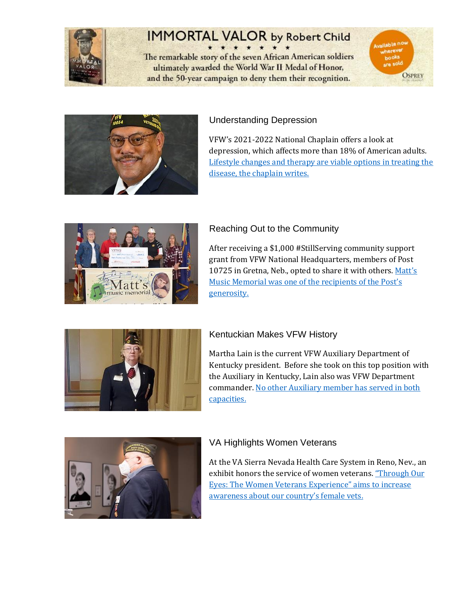

# **IMMORTAL VALOR by Robert Child**

The remarkable story of the seven African American soldiers ultimately awarded the World War II Medal of Honor, and the 50-year campaign to deny them their recognition.





#### Understanding Depression

VFW's 2021-2022 National Chaplain offers a look at depression, which affects more than 18% of American adults. [Lifestyle changes and therapy are viable options in treating the](https://www.vfw.org/media-and-events/latest-releases/archives/2022/1/understanding-depression-can-help)  [disease, the chaplain writes.](https://www.vfw.org/media-and-events/latest-releases/archives/2022/1/understanding-depression-can-help)



#### Reaching Out to the Community

After receiving a \$1,000 #StillServing community support grant from VFW National Headquarters, members of Post 10725 in Gretna, Neb., opted to share it with others. Matt's [Music Memorial was one of the recipients of the Post's](https://www.vfw.org/media-and-events/latest-releases/archives/2022/1/reaching-out-to-the-community)  [generosity.](https://www.vfw.org/media-and-events/latest-releases/archives/2022/1/reaching-out-to-the-community)



#### Kentuckian Makes VFW History

Martha Lain is the current VFW Auxiliary Department of Kentucky president. Before she took on this top position with the Auxiliary in Kentucky, Lain also was VFW Department commander[. No other Auxiliary member has served in both](https://www.vfw.org/media-and-events/latest-releases/archives/2022/1/vfw-member-in-kentucky-makes-history)  [capacities.](https://www.vfw.org/media-and-events/latest-releases/archives/2022/1/vfw-member-in-kentucky-makes-history) 



#### VA Highlights Women Veterans

At the VA Sierra Nevada Health Care System in Reno, Nev., an exhibit honors the service of women veterans. "Through Our [Eyes: The Women Veterans Experience" aims to increase](https://www.vfw.org/media-and-events/latest-releases/archives/2022/1/honoring-women-veterans)  [awareness about our country's female vets.](https://www.vfw.org/media-and-events/latest-releases/archives/2022/1/honoring-women-veterans)